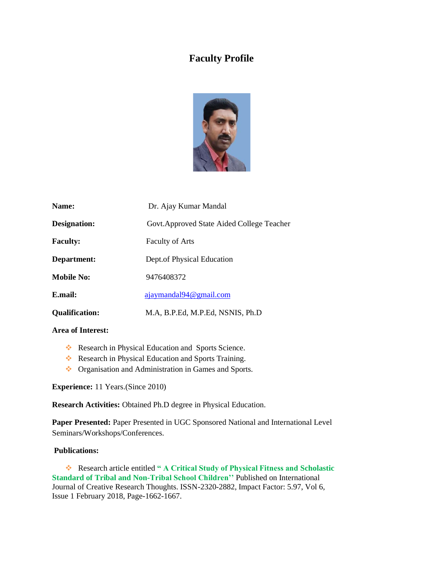## **Faculty Profile**



| Name:                 | Dr. Ajay Kumar Mandal                      |
|-----------------------|--------------------------------------------|
| Designation:          | Govt. Approved State Aided College Teacher |
| <b>Faculty:</b>       | <b>Faculty of Arts</b>                     |
| Department:           | Dept. of Physical Education                |
| <b>Mobile No:</b>     | 9476408372                                 |
| E.mail:               | ajaymandal94@gmail.com                     |
| <b>Qualification:</b> | M.A, B.P.Ed, M.P.Ed, NSNIS, Ph.D           |

## **Area of Interest:**

- ❖ Research in Physical Education and Sports Science.
- ❖ Research in Physical Education and Sports Training.
- ❖ Organisation and Administration in Games and Sports.

**Experience:** 11 Years.(Since 2010)

**Research Activities:** Obtained Ph.D degree in Physical Education.

**Paper Presented:** Paper Presented in UGC Sponsored National and International Level Seminars/Workshops/Conferences.

## **Publications:**

❖ Research article entitled **" A Critical Study of Physical Fitness and Scholastic Standard of Tribal and Non-Tribal School Children''** Published on International Journal of Creative Research Thoughts. ISSN-2320-2882, Impact Factor: 5.97, Vol 6, Issue 1 February 2018, Page-1662-1667.